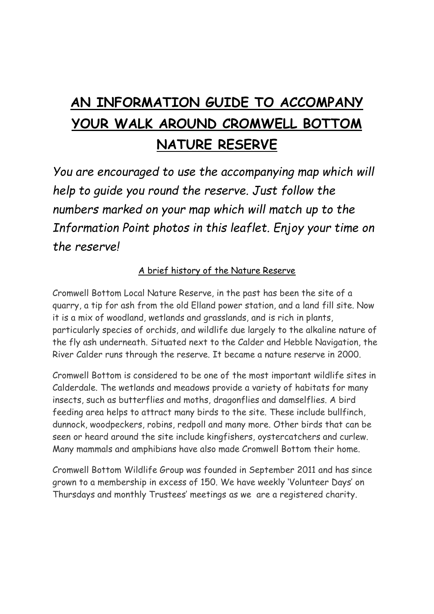# **AN INFORMATION GUIDE TO ACCOMPANY YOUR WALK AROUND CROMWELL BOTTOM NATURE RESERVE**

*You are encouraged to use the accompanying map which will help to guide you round the reserve. Just follow the numbers marked on your map which will match up to the Information Point photos in this leaflet. Enjoy your time on the reserve!*

A brief history of the Nature Reserve

Cromwell Bottom Local Nature Reserve, in the past has been the site of a quarry, a tip for ash from the old Elland power station, and a land fill site. Now it is a mix of woodland, wetlands and grasslands, and is rich in plants, particularly species of orchids, and wildlife due largely to the alkaline nature of the fly ash underneath. Situated next to the Calder and Hebble Navigation, the River Calder runs through the reserve. It became a nature reserve in 2000.

Cromwell Bottom is considered to be one of the most important wildlife sites in Calderdale. The wetlands and meadows provide a variety of habitats for many insects, such as butterflies and moths, dragonflies and damselflies. A bird feeding area helps to attract many birds to the site. These include bullfinch, dunnock, woodpeckers, robins, redpoll and many more. Other birds that can be seen or heard around the site include kingfishers, oystercatchers and curlew. Many mammals and amphibians have also made Cromwell Bottom their home.

Cromwell Bottom Wildlife Group was founded in September 2011 and has since grown to a membership in excess of 150. We have weekly 'Volunteer Days' on Thursdays and monthly Trustees' meetings as we are a registered charity.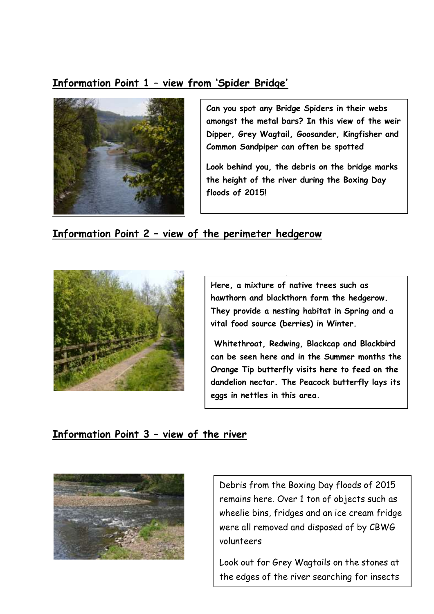#### **Information Point 1 – view from 'Spider Bridge'**



**Can you spot any Bridge Spiders in their webs amongst the metal bars? In this view of the weir Dipper, Grey Wagtail, Goosander, Kingfisher and Common Sandpiper can often be spotted**

**Look behind you, the debris on the bridge marks the height of the river during the Boxing Day floods of 2015!**

#### **Information Point 2 – view of the perimeter hedgerow**



.<br>. **Here, a mixture of native trees such as hawthorn and blackthorn form the hedgerow. They provide a nesting habitat in Spring and a vital food source (berries) in Winter.**

**Whitethroat, Redwing, Blackcap and Blackbird can be seen here and in the Summer months the Orange Tip butterfly visits here to feed on the dandelion nectar. The Peacock butterfly lays its eggs in nettles in this area.**

#### **Information Point 3 – view of the river**



Debris from the Boxing Day floods of 2015 remains here. Over 1 ton of objects such as wheelie bins, fridges and an ice cream fridge were all removed and disposed of by CBWG volunteers

Look out for Grey Wagtails on the stones at the edges of the river searching for insects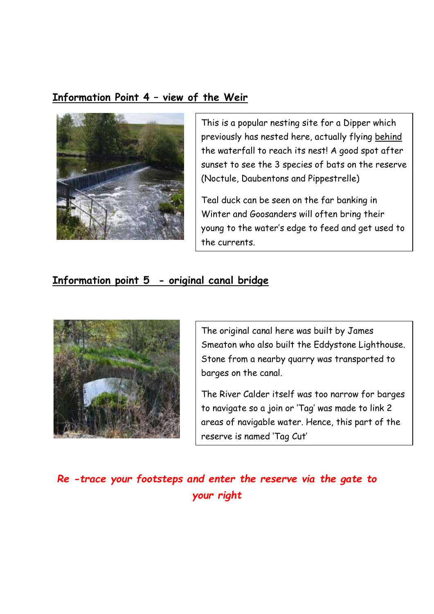## **Information Point 4 – view of the Weir**



This is a popular nesting site for a Dipper which previously has nested here, actually flying behind the waterfall to reach its nest! A good spot after sunset to see the 3 species of bats on the reserve (Noctule, Daubentons and Pippestrelle)

Teal duck can be seen on the far banking in Winter and Goosanders will often bring their young to the water's edge to feed and get used to the currents.

### **Information point 5 - original canal bridge**



The original canal here was built by James Smeaton who also built the Eddystone Lighthouse. Stone from a nearby quarry was transported to barges on the canal.

The River Calder itself was too narrow for barges to navigate so a join or 'Tag' was made to link 2 areas of navigable water. Hence, this part of the reserve is named 'Tag Cut'

*Re -trace your footsteps and enter the reserve via the gate to your right*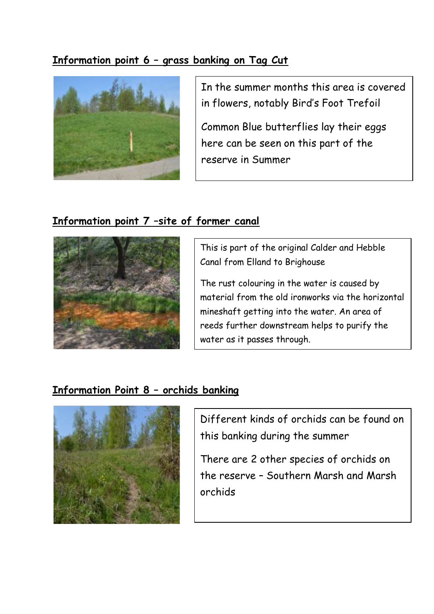## **Information point 6 – grass banking on Tag Cut**



In the summer months this area is covered in flowers, notably Bird's Foot Trefoil

Common Blue butterflies lay their eggs here can be seen on this part of the reserve in Summer

## **Information point 7 –site of former canal**



This is part of the original Calder and Hebble Canal from Elland to Brighouse

The rust colouring in the water is caused by material from the old ironworks via the horizontal mineshaft getting into the water. An area of reeds further downstream helps to purify the water as it passes through.

## **Information Point 8 – orchids banking**



Different kinds of orchids can be found on this banking during the summer

There are 2 other species of orchids on the reserve – Southern Marsh and Marsh orchids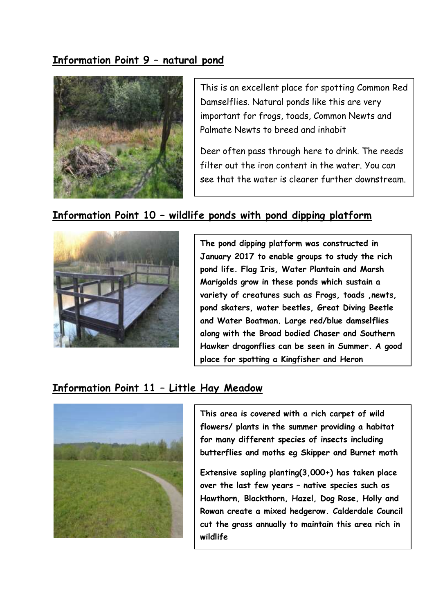## **Information Point 9 – natural pond**



This is an excellent place for spotting Common Red Damselflies. Natural ponds like this are very important for frogs, toads, Common Newts and Palmate Newts to breed and inhabit

Deer often pass through here to drink. The reeds filter out the iron content in the water. You can see that the water is clearer further downstream.

#### **Information Point 10 – wildlife ponds with pond dipping platform**



**The pond dipping platform was constructed in January 2017 to enable groups to study the rich pond life. Flag Iris, Water Plantain and Marsh Marigolds grow in these ponds which sustain a variety of creatures such as Frogs, toads ,newts, pond skaters, water beetles, Great Diving Beetle and Water Boatman. Large red/blue damselflies along with the Broad bodied Chaser and Southern Hawker dragonflies can be seen in Summer. A good place for spotting a Kingfisher and Heron**

#### **Information Point 11 – Little Hay Meadow**



**This area is covered with a rich carpet of wild flowers/ plants in the summer providing a habitat for many different species of insects including butterflies and moths eg Skipper and Burnet moth**

**Extensive sapling planting(3,000+) has taken place over the last few years – native species such as Hawthorn, Blackthorn, Hazel, Dog Rose, Holly and Rowan create a mixed hedgerow. Calderdale Council cut the grass annually to maintain this area rich in wildlife**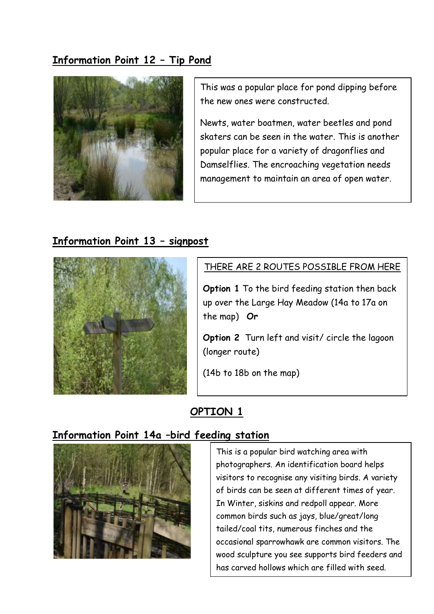## **Information Point 12 – Tip Pond**



This was a popular place for pond dipping before the new ones were constructed.

Newts, water boatmen, water beetles and pond skaters can be seen in the water. This is another popular place for a variety of dragonflies and Damselflies. The encroaching vegetation needs management to maintain an area of open water.

### **Information Point 13 – signpost**



#### THERE ARE 2 ROUTES POSSIBLE FROM HERE

**Option 1** To the bird feeding station then back up over the Large Hay Meadow (14a to 17a on the map) **Or**

**Option 2** Turn left and visit/ circle the lagoon (longer route)

(14b to 18b on the map)

## **OPTION 1**

#### **Information Point 14a –bird feeding station**



This is a popular bird watching area with photographers. An identification board helps visitors to recognise any visiting birds. A variety of birds can be seen at different times of year. In Winter, siskins and redpoll appear. More common birds such as jays, blue/great/long tailed/coal tits, numerous finches and the occasional sparrowhawk are common visitors. The wood sculpture you see supports bird feeders and has carved hollows which are filled with seed.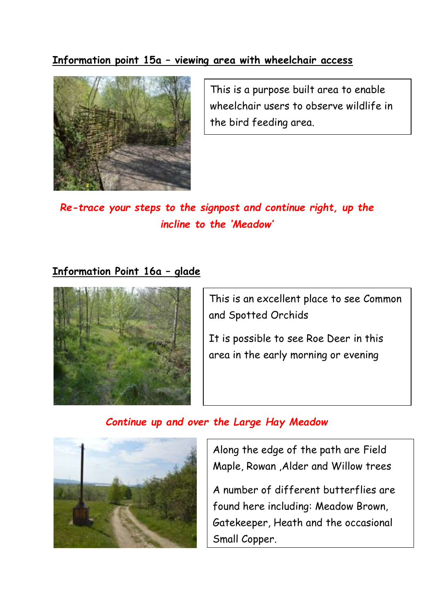### **Information point 15a – viewing area with wheelchair access**



This is a purpose built area to enable wheelchair users to observe wildlife in the bird feeding area.

*Re-trace your steps to the signpost and continue right, up the incline to the 'Meadow'*

#### **Information Point 16a – glade**



This is an excellent place to see Common and Spotted Orchids

It is possible to see Roe Deer in this area in the early morning or evening

#### *Continue up and over the Large Hay Meadow*



Along the edge of the path are Field Maple, Rowan ,Alder and Willow trees

A number of different butterflies are found here including: Meadow Brown, Gatekeeper, Heath and the occasional Small Copper.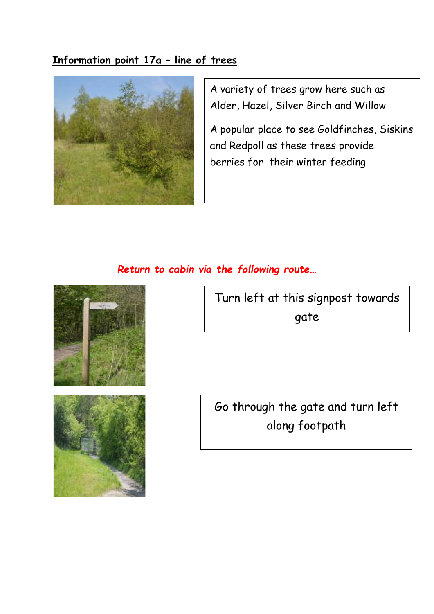## **Information point 17a – line of trees**



A variety of trees grow here such as Alder, Hazel, Silver Birch and Willow

A popular place to see Goldfinches, Siskins and Redpoll as these trees provide berries for their winter feeding

## *Return to cabin via the following route…*





Turn left at this signpost towards gate

Go through the gate and turn left along footpath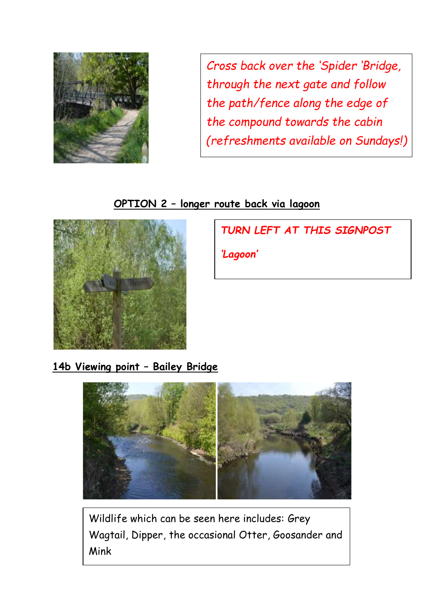

*Cross back over the 'Spider 'Bridge, through the next gate and follow the path/fence along the edge of the compound towards the cabin (refreshments available on Sundays!)*

## **OPTION 2 – longer route back via lagoon**



*TURN LEFT AT THIS SIGNPOST*

*'Lagoon'*

**14b Viewing point – Bailey Bridge**



Wildlife which can be seen here includes: Grey Wagtail, Dipper, the occasional Otter, Goosander and Mink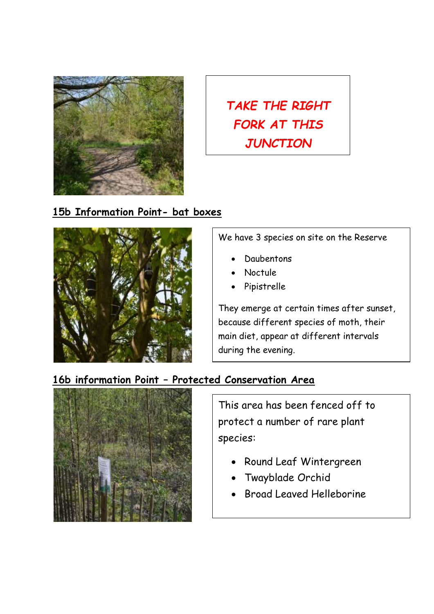

**TAKE THE RIGHT** *FORK AT THIS JUNCTION*

#### **15b Information Point- bat boxes**



We have 3 species on site on the Reserve

- **Daubentons**
- Noctule
- Pipistrelle

They emerge at certain times after sunset, because different species of moth, their main diet, appear at different intervals during the evening.

# **16b information Point – Protected Conservation Area**



This area has been fenced off to protect a number of rare plant species:

- Round Leaf Wintergreen
- Twayblade Orchid
- Broad Leaved Helleborine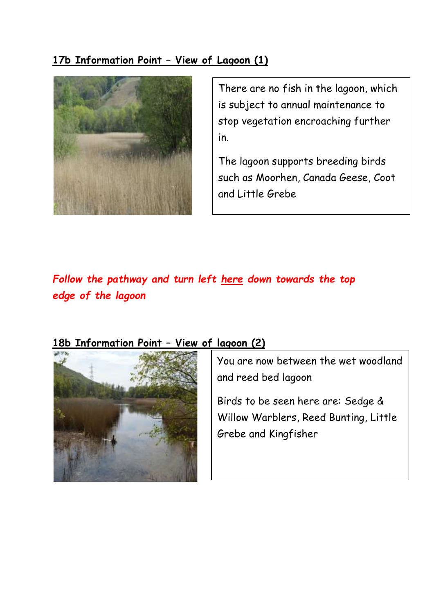## **17b Information Point – View of Lagoon (1)**



There are no fish in the lagoon, which is subject to annual maintenance to stop vegetation encroaching further in.

The lagoon supports breeding birds such as Moorhen, Canada Geese, Coot and Little Grebe

# *Follow the pathway and turn left here down towards the top edge of the lagoon*

## **18b Information Point – View of lagoon (2)**



You are now between the wet woodland and reed bed lagoon and reed bed lagoon

 $\sum_{i=1}^{n}$  $\frac{1}{2}$  $\epsilon$ Birds to be seen here are: Sedge & Willow Warblers, Reed Bunting, Little Grebe and Kingfisher